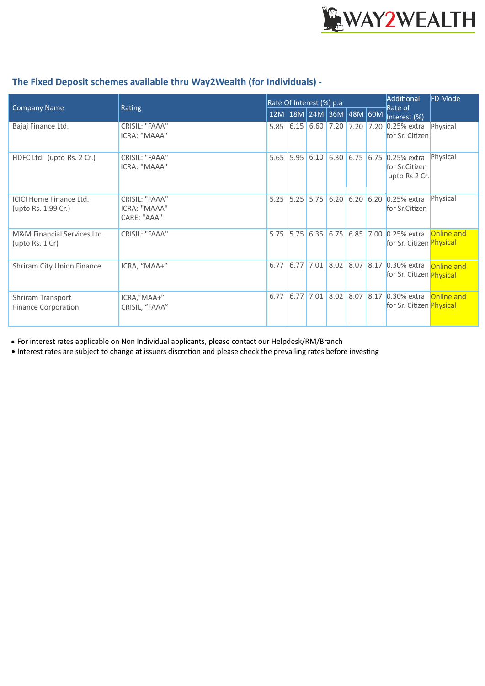

| <b>Company Name</b>                                   | Rating                                        | Rate Of Interest (%) p.a |                                |                            |  |  |  | Additional<br>Rate of                                                   | FD Mode    |
|-------------------------------------------------------|-----------------------------------------------|--------------------------|--------------------------------|----------------------------|--|--|--|-------------------------------------------------------------------------|------------|
|                                                       |                                               |                          | $12M$  18M  24M  36M  48M  60M |                            |  |  |  | Interest (%)                                                            |            |
| Bajaj Finance Ltd.                                    | CRISIL: "FAAA"<br>ICRA: "MAAA"                | 5.85                     | 6.15                           | $6.60$ 7.20 7.20 7.20      |  |  |  | $0.25%$ extra<br>for Sr. Citizen                                        | Physical   |
| HDFC Ltd. (upto Rs. 2 Cr.)                            | CRISIL: "FAAA"<br>ICRA: "MAAA"                | 5.65                     |                                |                            |  |  |  | 5.95 6.10 6.30 6.75 6.75 0.25% extra<br>for Sr.Citizen<br>upto Rs 2 Cr. | Physical   |
| <b>ICICI Home Finance Ltd.</b><br>(upto Rs. 1.99 Cr.) | CRISIL: "FAAA"<br>ICRA: "MAAA"<br>CARE: "AAA" | 5.25                     |                                | $5.25$ 5.75                |  |  |  | 6.20 6.20 6.20 0.25% extra<br>for Sr.Citizen                            | Physical   |
| M&M Financial Services Ltd.<br>(upto Rs. 1 Cr)        | CRISIL: "FAAA"                                | 5.75                     |                                |                            |  |  |  | 5.75 6.35 6.75 6.85 7.00 0.25% extra<br>for Sr. Citizen Physical        | Online and |
| Shriram City Union Finance                            | ICRA, "MAA+"                                  | 6.77                     |                                |                            |  |  |  | 6.77 7.01 8.02 8.07 8.17 0.30% extra<br>for Sr. Citizen Physical        | Online and |
| Shriram Transport<br><b>Finance Corporation</b>       | ICRA,"MAA+"<br>CRISIL, "FAAA"                 | 6.77                     |                                | $6.77$ 7.01 8.02 8.07 8.17 |  |  |  | $0.30\%$ extra<br>for Sr. Citizen Physical                              | Online and |

## **The Fixed Deposit schemes available thru Way2Wealth (for Individuals) -**

For interest rates applicable on Non Individual applicants, please contact our Helpdesk/RM/Branch •

• Interest rates are subject to change at issuers discretion and please check the prevailing rates before investing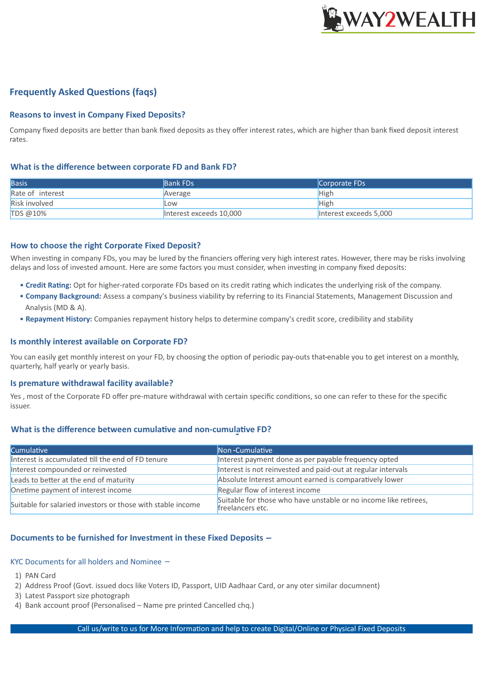

## **Frequently Asked Questions (faqs)**

#### **Reasons to invest in Company Fixed Deposits?**

Company fixed deposits are better than bank fixed deposits as they offer interest rates, which are higher than bank fixed deposit interest rates.

#### **What is the difference between corporate FD and Bank FD?**

| <b>Basis</b>         | <b>Bank FDs</b>         | Corporate FDs          |
|----------------------|-------------------------|------------------------|
| Rate of interest     | Average                 | High                   |
| <b>Risk involved</b> | Low                     | High                   |
| TDS @10%             | Interest exceeds 10,000 | Interest exceeds 5,000 |

#### **How to choose the right Corporate Fixed Deposit?**

When investing in company FDs, you may be lured by the financiers offering very high interest rates. However, there may be risks involving delays and loss of invested amount. Here are some factors you must consider, when investing in company fixed deposits:

- Credit Rating: Opt for higher-rated corporate FDs based on its credit rating which indicates the underlying risk of the company.
- **Company Background:** Assess a company's business viability by referring to its Financial Statements, Management Discussion and Analysis (MD & A).
- • **Repayment History:** Companies repayment history helps to determine company's credit score, credibility and stability

#### **Is monthly interest available on Corporate FD?**

You can easily get monthly interest on your FD, by choosing the option of periodic pay-outs that-enable you to get interest on a monthly, quarterly, half yearly or yearly basis.

#### **Is premature withdrawal facility available?**

Yes, most of the Corporate FD offer pre-mature withdrawal with certain specific conditions, so one can refer to these for the specific issuer.

## **What is the difference between cumulative and non-cumul<mark>a</mark>tive FD?**

| <b>Cumulative</b>                                           | Non-Cumulative                                                                       |  |  |  |  |
|-------------------------------------------------------------|--------------------------------------------------------------------------------------|--|--|--|--|
| Interest is accumulated till the end of FD tenure           | Interest payment done as per payable frequency opted                                 |  |  |  |  |
| Interest compounded or reinvested                           | Interest is not reinvested and paid-out at regular intervals                         |  |  |  |  |
| Leads to better at the end of maturity                      | Absolute Interest amount earned is comparatively lower                               |  |  |  |  |
| Onetime payment of interest income                          | Regular flow of interest income                                                      |  |  |  |  |
| Suitable for salaried investors or those with stable income | Suitable for those who have unstable or no income like retirees,<br>freelancers etc. |  |  |  |  |

#### **Documents to be furnished for Investment in these Fixed Deposits –**

#### KYC Documents for all holders and Nominee –

- 1) PAN Card
- 2) Address Proof (Govt. issued docs like Voters ID, Passport, UID Aadhaar Card, or any oter similar documnent)
- 3) Latest Passport size photograph
- 4) Bank account proof (Personalised Name pre printed Cancelled chq.)